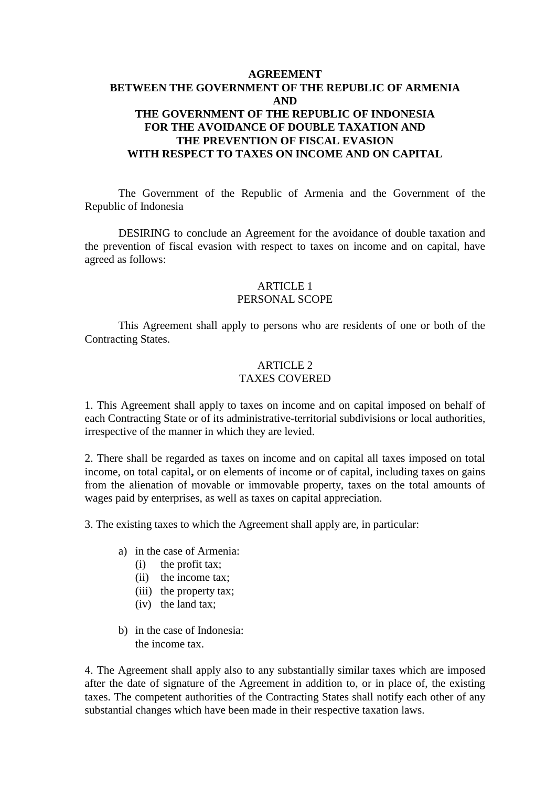# **AGREEMENT BETWEEN THE GOVERNMENT OF THE REPUBLIC OF ARMENIA AND THE GOVERNMENT OF THE REPUBLIC OF INDONESIA FOR THE AVOIDANCE OF DOUBLE TAXATION AND THE PREVENTION OF FISCAL EVASION WITH RESPECT TO TAXES ON INCOME AND ON CAPITAL**

The Government of the Republic of Armenia and the Government of the Republic of Indonesia

DESIRING to conclude an Agreement for the avoidance of double taxation and the prevention of fiscal evasion with respect to taxes on income and on capital, have agreed as follows:

#### ARTICLE 1

#### PERSONAL SCOPE

This Agreement shall apply to persons who are residents of one or both of the Contracting States.

#### ARTICLE 2 TAXES COVERED

1. This Agreement shall apply to taxes on income and on capital imposed on behalf of each Contracting State or of its administrative-territorial subdivisions or local authorities, irrespective of the manner in which they are levied.

2. There shall be regarded as taxes on income and on capital all taxes imposed on total income, on total capital**,** or on elements of income or of capital, including taxes on gains from the alienation of movable or immovable property, taxes on the total amounts of wages paid by enterprises, as well as taxes on capital appreciation.

3. The existing taxes to which the Agreement shall apply are, in particular:

- a) in the case of Armenia:
	- (i) the profit tax;
	- (ii) the income tax;
	- (iii) the property tax;
	- (iv) the land tax;
- b) in the case of Indonesia: the income tax.

4. The Agreement shall apply also to any substantially similar taxes which are imposed after the date of signature of the Agreement in addition to, or in place of, the existing taxes. The competent authorities of the Contracting States shall notify each other of any substantial changes which have been made in their respective taxation laws.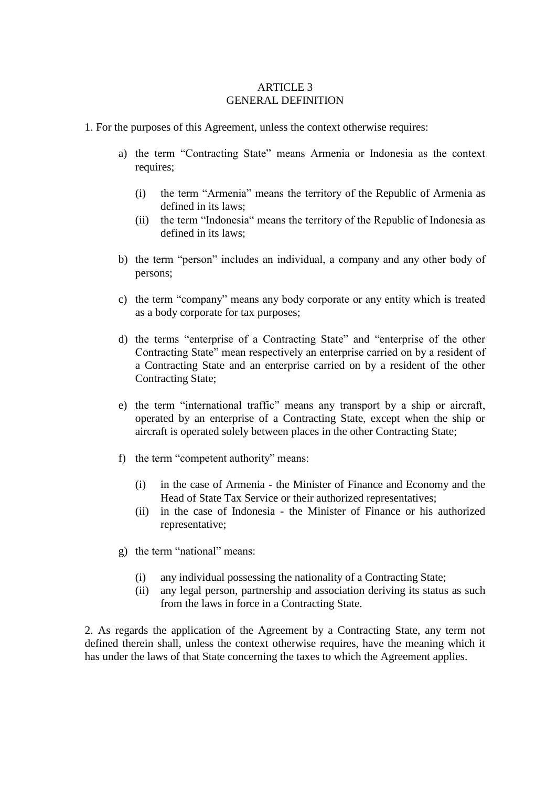### ARTICLE<sub>3</sub> GENERAL DEFINITION

- 1. For the purposes of this Agreement, unless the context otherwise requires:
	- a) the term "Contracting State" means Armenia or Indonesia as the context requires;
		- (i) the term "Armenia" means the territory of the Republic of Armenia as defined in its laws;
		- (ii) the term "Indonesia" means the territory of the Republic of Indonesia as defined in its laws;
	- b) the term "person" includes an individual, a company and any other body of persons;
	- c) the term "company" means any body corporate or any entity which is treated as a body corporate for tax purposes;
	- d) the terms "enterprise of a Contracting State" and "enterprise of the other Contracting State" mean respectively an enterprise carried on by a resident of a Contracting State and an enterprise carried on by a resident of the other Contracting State;
	- e) the term "international traffic" means any transport by a ship or aircraft, operated by an enterprise of a Contracting State, except when the ship or aircraft is operated solely between places in the other Contracting State;
	- f) the term "competent authority" means:
		- (i) in the case of Armenia the Minister of Finance and Economy and the Head of State Tax Service or their authorized representatives;
		- (ii) in the case of Indonesia the Minister of Finance or his authorized representative;
	- g) the term "national" means:
		- (i) any individual possessing the nationality of a Contracting State;
		- (ii) any legal person*,* partnership and association deriving its status as such from the laws in force in a Contracting State.

2. As regards the application of the Agreement by a Contracting State, any term not defined therein shall, unless the context otherwise requires, have the meaning which it has under the laws of that State concerning the taxes to which the Agreement applies.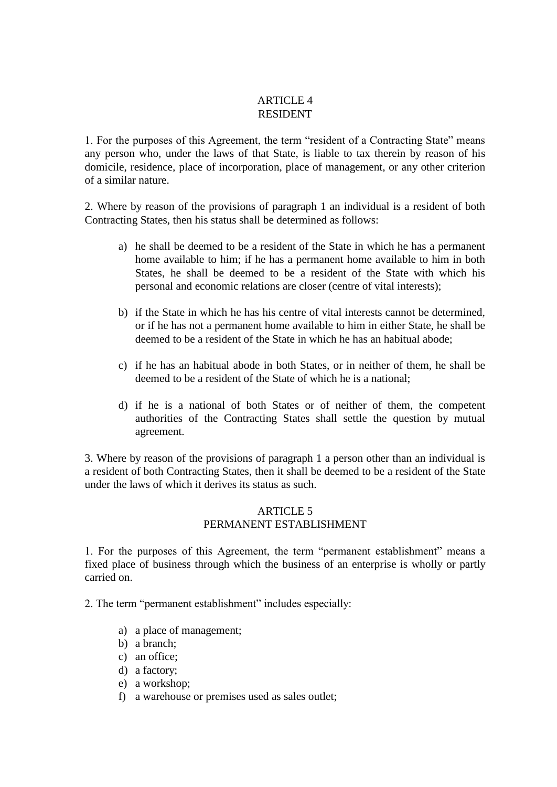# **ARTICLE 4** RESIDENT

1. For the purposes of this Agreement, the term "resident of a Contracting State" means any person who, under the laws of that State, is liable to tax therein by reason of his domicile, residence*,* place of incorporation, place of management, or any other criterion of a similar nature.

2. Where by reason of the provisions of paragraph 1 an individual is a resident of both Contracting States, then his status shall be determined as follows:

- a) he shall be deemed to be a resident of the State in which he has a permanent home available to him; if he has a permanent home available to him in both States, he shall be deemed to be a resident of the State with which his personal and economic relations are closer (centre of vital interests);
- b) if the State in which he has his centre of vital interests cannot be determined, or if he has not a permanent home available to him in either State, he shall be deemed to be a resident of the State in which he has an habitual abode;
- c) if he has an habitual abode in both States, or in neither of them, he shall be deemed to be a resident of the State of which he is a national;
- d) if he is a national of both States or of neither of them, the competent authorities of the Contracting States shall settle the question by mutual agreement.

3. Where by reason of the provisions of paragraph 1 a person other than an individual is a resident of both Contracting States, then it shall be deemed to be a resident of the State under the laws of which it derives its status as such.

# ARTICLE 5 PERMANENT ESTABLISHMENT

1. For the purposes of this Agreement, the term "permanent establishment" means a fixed place of business through which the business of an enterprise is wholly or partly carried on.

- 2. The term "permanent establishment" includes especially:
	- a) a place of management;
	- b) a branch;
	- c) an office;
	- d) a factory;
	- e) a workshop;
	- f) a warehouse or premises used as sales outlet;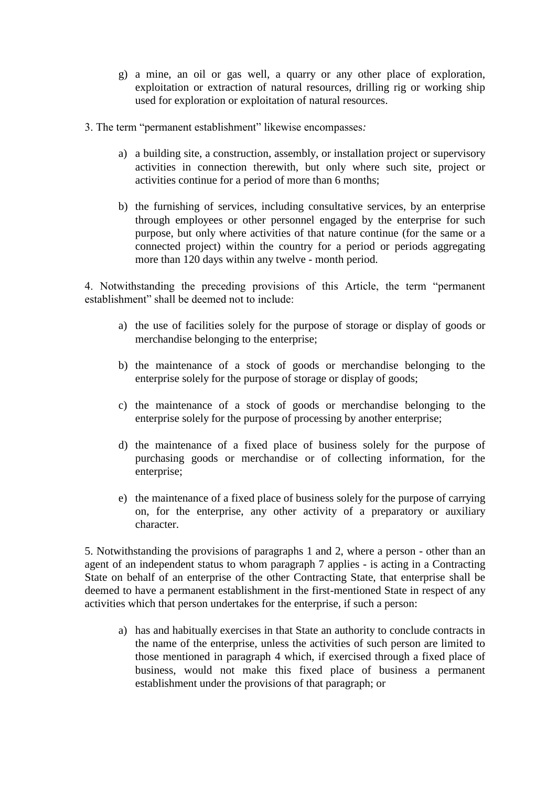- g) a mine, an oil or gas well, a quarry or any other place of exploration, exploitation or extraction of natural resources, drilling rig or working ship used for exploration or exploitation of natural resources.
- 3. The term "permanent establishment" likewise encompasses*:*
	- a) a building site, a construction, assembly, or installation project or supervisory activities in connection therewith, but only where such site, project or activities continue for a period of more than 6 months;
	- b) the furnishing of services, including consultative services, by an enterprise through employees or other personnel engaged by the enterprise for such purpose, but only where activities of that nature continue (for the same or a connected project) within the country for a period or periods aggregating more than 120 days within any twelve - month period.

4. Notwithstanding the preceding provisions of this Article, the term "permanent establishment" shall be deemed not to include:

- a) the use of facilities solely for the purpose of storage or display of goods or merchandise belonging to the enterprise;
- b) the maintenance of a stock of goods or merchandise belonging to the enterprise solely for the purpose of storage or display of goods;
- c) the maintenance of a stock of goods or merchandise belonging to the enterprise solely for the purpose of processing by another enterprise;
- d) the maintenance of a fixed place of business solely for the purpose of purchasing goods or merchandise or of collecting information, for the enterprise;
- e) the maintenance of a fixed place of business solely for the purpose of carrying on, for the enterprise, any other activity of a preparatory or auxiliary character.

5. Notwithstanding the provisions of paragraphs 1 and 2, where a person - other than an agent of an independent status to whom paragraph 7 applies - is acting in a Contracting State on behalf of an enterprise of the other Contracting State, that enterprise shall be deemed to have a permanent establishment in the first-mentioned State in respect of any activities which that person undertakes for the enterprise, if such a person:

a) has and habitually exercises in that State an authority to conclude contracts in the name of the enterprise, unless the activities of such person are limited to those mentioned in paragraph 4 which, if exercised through a fixed place of business, would not make this fixed place of business a permanent establishment under the provisions of that paragraph; or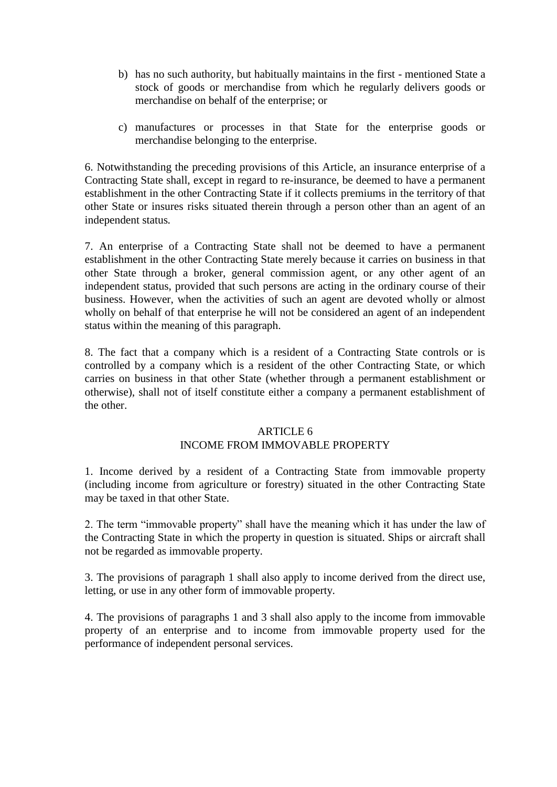- b) has no such authority, but habitually maintains in the first mentioned State a stock of goods or merchandise from which he regularly delivers goods or merchandise on behalf of the enterprise; or
- c) manufactures or processes in that State for the enterprise goods or merchandise belonging to the enterprise.

6. Notwithstanding the preceding provisions of this Article, an insurance enterprise of a Contracting State shall, except in regard to re-insurance, be deemed to have a permanent establishment in the other Contracting State if it collects premiums in the territory of that other State or insures risks situated therein through a person other than an agent of an independent status*.*

7. An enterprise of a Contracting State shall not be deemed to have a permanent establishment in the other Contracting State merely because it carries on business in that other State through a broker, general commission agent, or any other agent of an independent status, provided that such persons are acting in the ordinary course of their business. However, when the activities of such an agent are devoted wholly or almost wholly on behalf of that enterprise he will not be considered an agent of an independent status within the meaning of this paragraph.

8. The fact that a company which is a resident of a Contracting State controls or is controlled by a company which is a resident of the other Contracting State, or which carries on business in that other State (whether through a permanent establishment or otherwise), shall not of itself constitute either a company a permanent establishment of the other.

#### ARTICLE 6

# INCOME FROM IMMOVABLE PROPERTY

1. Income derived by a resident of a Contracting State from immovable property (including income from agriculture or forestry) situated in the other Contracting State may be taxed in that other State.

2. The term "immovable property" shall have the meaning which it has under the law of the Contracting State in which the property in question is situated. Ships or aircraft shall not be regarded as immovable property.

3. The provisions of paragraph 1 shall also apply to income derived from the direct use, letting, or use in any other form of immovable property.

4. The provisions of paragraphs 1 and 3 shall also apply to the income from immovable property of an enterprise and to income from immovable property used for the performance of independent personal services.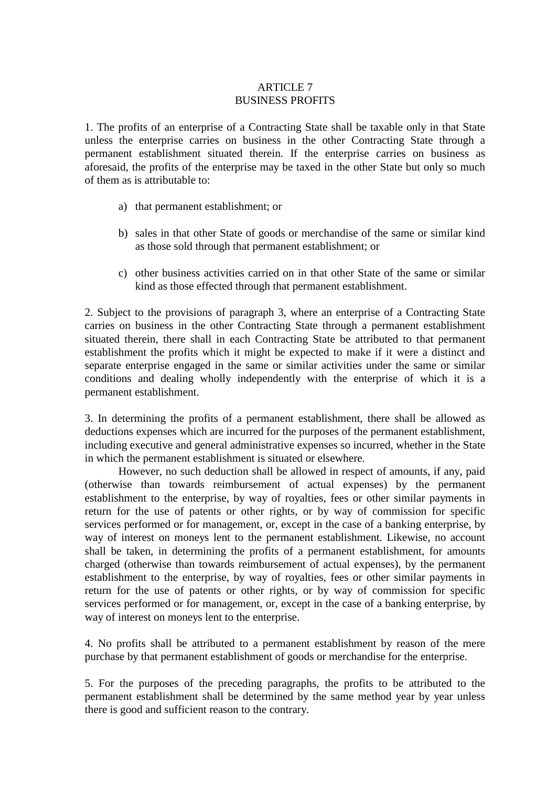# ARTICLE 7 BUSINESS PROFITS

1. The profits of an enterprise of a Contracting State shall be taxable only in that State unless the enterprise carries on business in the other Contracting State through a permanent establishment situated therein. If the enterprise carries on business as aforesaid, the profits of the enterprise may be taxed in the other State but only so much of them as is attributable to:

- a) that permanent establishment; or
- b) sales in that other State of goods or merchandise of the same or similar kind as those sold through that permanent establishment; or
- c) other business activities carried on in that other State of the same or similar kind as those effected through that permanent establishment.

2. Subject to the provisions of paragraph 3, where an enterprise of a Contracting State carries on business in the other Contracting State through a permanent establishment situated therein, there shall in each Contracting State be attributed to that permanent establishment the profits which it might be expected to make if it were a distinct and separate enterprise engaged in the same or similar activities under the same or similar conditions and dealing wholly independently with the enterprise of which it is a permanent establishment.

3. In determining the profits of a permanent establishment, there shall be allowed as deductions expenses which are incurred for the purposes of the permanent establishment, including executive and general administrative expenses so incurred, whether in the State in which the permanent establishment is situated or elsewhere.

However, no such deduction shall be allowed in respect of amounts, if any, paid (otherwise than towards reimbursement of actual expenses) by the permanent establishment to the enterprise, by way of royalties, fees or other similar payments in return for the use of patents or other rights, or by way of commission for specific services performed or for management, or, except in the case of a banking enterprise, by way of interest on moneys lent to the permanent establishment. Likewise, no account shall be taken, in determining the profits of a permanent establishment, for amounts charged (otherwise than towards reimbursement of actual expenses), by the permanent establishment to the enterprise, by way of royalties, fees or other similar payments in return for the use of patents or other rights, or by way of commission for specific services performed or for management, or, except in the case of a banking enterprise, by way of interest on moneys lent to the enterprise.

4. No profits shall be attributed to a permanent establishment by reason of the mere purchase by that permanent establishment of goods or merchandise for the enterprise.

5. For the purposes of the preceding paragraphs, the profits to be attributed to the permanent establishment shall be determined by the same method year by year unless there is good and sufficient reason to the contrary.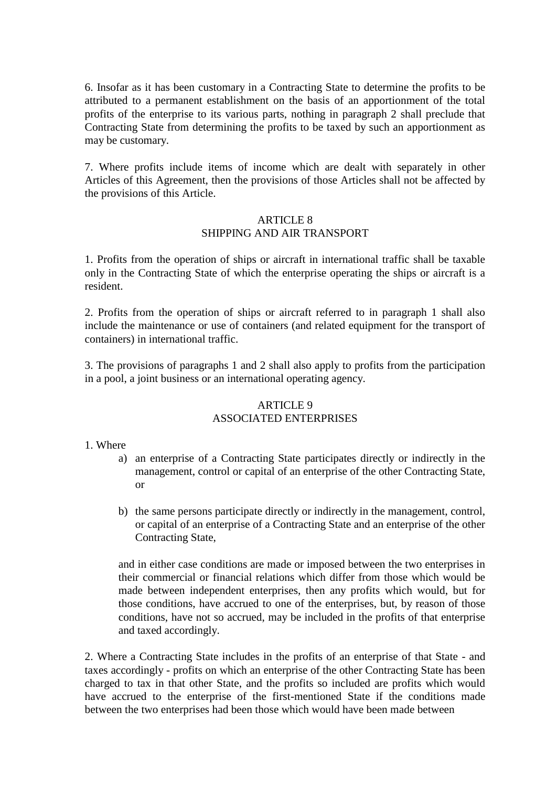6. Insofar as it has been customary in a Contracting State to determine the profits to be attributed to a permanent establishment on the basis of an apportionment of the total profits of the enterprise to its various parts, nothing in paragraph 2 shall preclude that Contracting State from determining the profits to be taxed by such an apportionment as may be customary.

7. Where profits include items of income which are dealt with separately in other Articles of this Agreement, then the provisions of those Articles shall not be affected by the provisions of this Article.

#### ARTICLE 8 SHIPPING AND AIR TRANSPORT

1. Profits from the operation of ships or aircraft in international traffic shall be taxable only in the Contracting State of which the enterprise operating the ships or aircraft is a resident.

2. Profits from the operation of ships or aircraft referred to in paragraph 1 shall also include the maintenance or use of containers (and related equipment for the transport of containers) in international traffic.

3. The provisions of paragraphs 1 and 2 shall also apply to profits from the participation in a pool, a joint business or an international operating agency.

# ARTICLE 9 ASSOCIATED ENTERPRISES

#### 1. Where

- a) an enterprise of a Contracting State participates directly or indirectly in the management, control or capital of an enterprise of the other Contracting State, or
- b) the same persons participate directly or indirectly in the management, control, or capital of an enterprise of a Contracting State and an enterprise of the other Contracting State,

and in either case conditions are made or imposed between the two enterprises in their commercial or financial relations which differ from those which would be made between independent enterprises, then any profits which would, but for those conditions, have accrued to one of the enterprises, but, by reason of those conditions, have not so accrued, may be included in the profits of that enterprise and taxed accordingly.

2. Where a Contracting State includes in the profits of an enterprise of that State - and taxes accordingly - profits on which an enterprise of the other Contracting State has been charged to tax in that other State, and the profits so included are profits which would have accrued to the enterprise of the first-mentioned State if the conditions made between the two enterprises had been those which would have been made between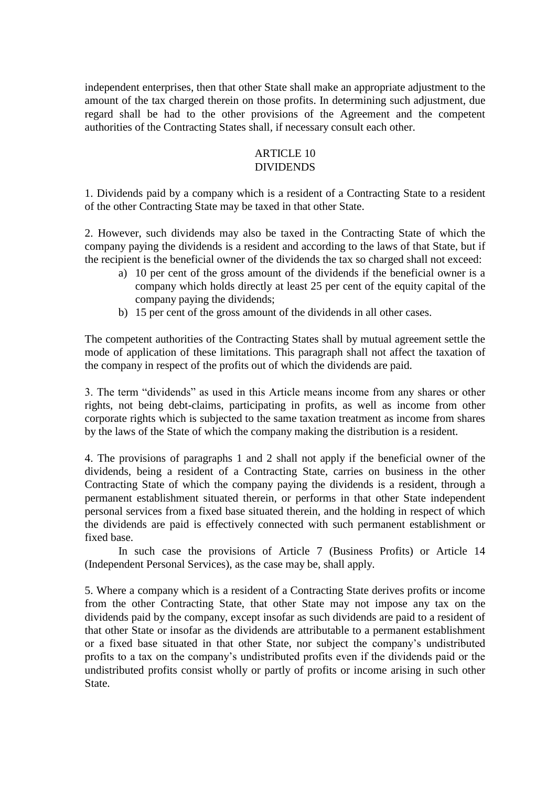independent enterprises, then that other State shall make an appropriate adjustment to the amount of the tax charged therein on those profits. In determining such adjustment, due regard shall be had to the other provisions of the Agreement and the competent authorities of the Contracting States shall*,* if necessary consult each other.

#### ARTICLE 10 DIVIDENDS

1. Dividends paid by a company which is a resident of a Contracting State to a resident of the other Contracting State may be taxed in that other State.

2. However, such dividends may also be taxed in the Contracting State of which the company paying the dividends is a resident and according to the laws of that State, but if the recipient is the beneficial owner of the dividends the tax so charged shall not exceed:

- a) 10 per cent of the gross amount of the dividends if the beneficial owner is a company which holds directly at least 25 per cent of the equity capital of the company paying the dividends;
- b) 15 per cent of the gross amount of the dividends in all other cases.

The competent authorities of the Contracting States shall by mutual agreement settle the mode of application of these limitations. This paragraph shall not affect the taxation of the company in respect of the profits out of which the dividends are paid.

3. The term "dividends" as used in this Article means income from any shares or other rights, not being debt-claims, participating in profits, as well as income from other corporate rights which is subjected to the same taxation treatment as income from shares by the laws of the State of which the company making the distribution is a resident.

4. The provisions of paragraphs 1 and 2 shall not apply if the beneficial owner of the dividends, being a resident of a Contracting State, carries on business in the other Contracting State of which the company paying the dividends is a resident, through a permanent establishment situated therein, or performs in that other State independent personal services from a fixed base situated therein, and the holding in respect of which the dividends are paid is effectively connected with such permanent establishment or fixed base.

In such case the provisions of Article 7 (Business Profits) or Article 14 (Independent Personal Services), as the case may be, shall apply.

5. Where a company which is a resident of a Contracting State derives profits or income from the other Contracting State, that other State may not impose any tax on the dividends paid by the company, except insofar as such dividends are paid to a resident of that other State or insofar as the dividends are attributable to a permanent establishment or a fixed base situated in that other State, nor subject the company's undistributed profits to a tax on the company's undistributed profits even if the dividends paid or the undistributed profits consist wholly or partly of profits or income arising in such other State.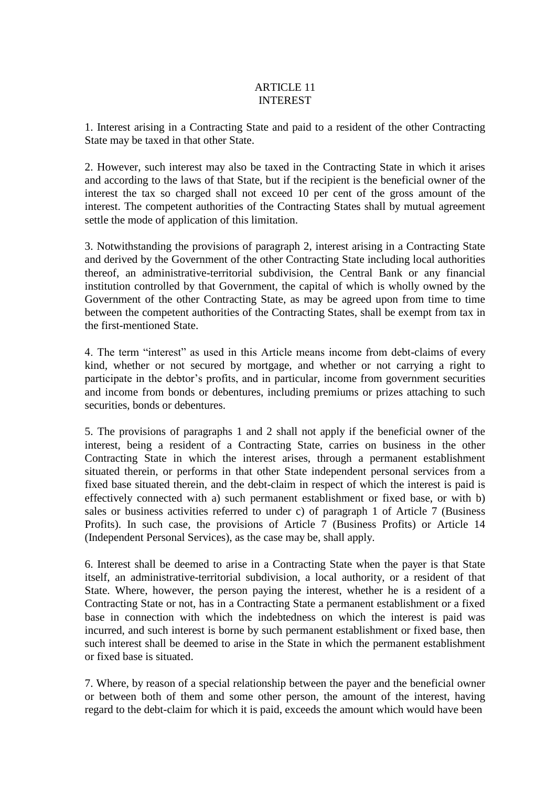# ARTICLE 11 **INTEREST**

1. Interest arising in a Contracting State and paid to a resident of the other Contracting State may be taxed in that other State.

2. However, such interest may also be taxed in the Contracting State in which it arises and according to the laws of that State, but if the recipient is the beneficial owner of the interest the tax so charged shall not exceed 10 per cent of the gross amount of the interest. The competent authorities of the Contracting States shall by mutual agreement settle the mode of application of this limitation.

3. Notwithstanding the provisions of paragraph 2, interest arising in a Contracting State and derived by the Government of the other Contracting State including local authorities thereof, an administrative-territorial subdivision, the Central Bank or any financial institution controlled by that Government, the capital of which is wholly owned by the Government of the other Contracting State, as may be agreed upon from time to time between the competent authorities of the Contracting States, shall be exempt from tax in the first-mentioned State.

4. The term "interest" as used in this Article means income from debt-claims of every kind*,* whether or not secured by mortgage, and whether or not carrying a right to participate in the debtor's profits, and in particular, income from government securities and income from bonds or debentures, including premiums or prizes attaching to such securities, bonds or debentures.

5. The provisions of paragraphs 1 and 2 shall not apply if the beneficial owner of the interest, being a resident of a Contracting State, carries on business in the other Contracting State in which the interest arises, through a permanent establishment situated therein, or performs in that other State independent personal services from a fixed base situated therein, and the debt-claim in respect of which the interest is paid is effectively connected with a) such permanent establishment or fixed base, or with b) sales or business activities referred to under c) of paragraph 1 of Article 7 (Business Profits). In such case*,* the provisions of Article 7 (Business Profits) or Article 14 (Independent Personal Services), as the case may be, shall apply.

6. Interest shall be deemed to arise in a Contracting State when the payer is that State itself, an administrative-territorial subdivision, a local authority, or a resident of that State. Where, however, the person paying the interest, whether he is a resident of a Contracting State or not, has in a Contracting State a permanent establishment or a fixed base in connection with which the indebtedness on which the interest is paid was incurred, and such interest is borne by such permanent establishment or fixed base, then such interest shall be deemed to arise in the State in which the permanent establishment or fixed base is situated.

7. Where, by reason of a special relationship between the payer and the beneficial owner or between both of them and some other person, the amount of the interest, having regard to the debt-claim for which it is paid, exceeds the amount which would have been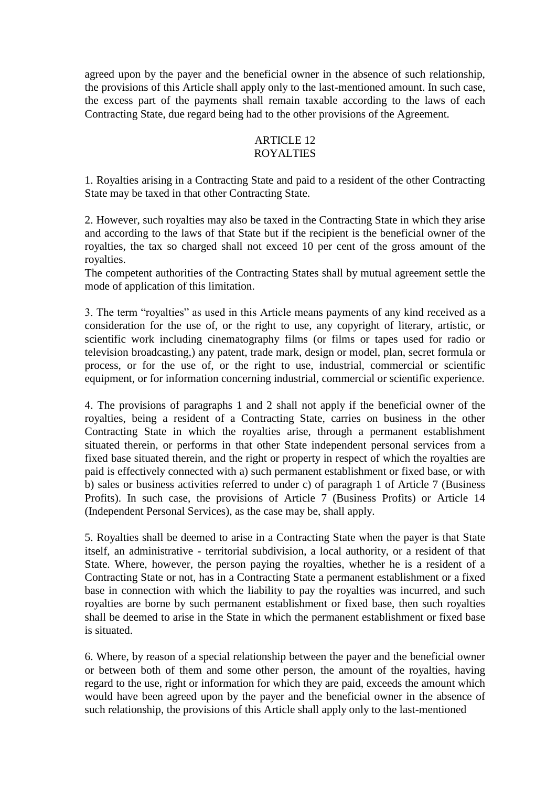agreed upon by the payer and the beneficial owner in the absence of such relationship, the provisions of this Article shall apply only to the last-mentioned amount. In such case, the excess part of the payments shall remain taxable according to the laws of each Contracting State, due regard being had to the other provisions of the Agreement.

# ARTICLE 12 ROYALTIES

1. Royalties arising in a Contracting State and paid to a resident of the other Contracting State may be taxed in that other Contracting State.

2. However, such royalties may also be taxed in the Contracting State in which they arise and according to the laws of that State but if the recipient is the beneficial owner of the royalties, the tax so charged shall not exceed 10 per cent of the gross amount of the royalties.

The competent authorities of the Contracting States shall by mutual agreement settle the mode of application of this limitation.

3. The term "royalties" as used in this Article means payments of any kind received as a consideration for the use of, or the right to use, any copyright of literary, artistic, or scientific work including cinematography films (or films or tapes used for radio or television broadcasting,) any patent, trade mark, design or model, plan, secret formula or process, or for the use of, or the right to use, industrial, commercial or scientific equipment, or for information concerning industrial, commercial or scientific experience.

4. The provisions of paragraphs 1 and 2 shall not apply if the beneficial owner of the royalties, being a resident of a Contracting State, carries on business in the other Contracting State in which the royalties arise, through a permanent establishment situated therein, or performs in that other State independent personal services from a fixed base situated therein, and the right or property in respect of which the royalties are paid is effectively connected with a) such permanent establishment or fixed base, or with b) sales or business activities referred to under c) of paragraph 1 of Article 7 (Business Profits). In such case, the provisions of Article 7 (Business Profits) or Article 14 (Independent Personal Services), as the case may be, shall apply.

5. Royalties shall be deemed to arise in a Contracting State when the payer is that State itself, an administrative - territorial subdivision, a local authority, or a resident of that State. Where, however, the person paying the royalties, whether he is a resident of a Contracting State or not, has in a Contracting State a permanent establishment or a fixed base in connection with which the liability to pay the royalties was incurred, and such royalties are borne by such permanent establishment or fixed base, then such royalties shall be deemed to arise in the State in which the permanent establishment or fixed base is situated.

6. Where, by reason of a special relationship between the payer and the beneficial owner or between both of them and some other person, the amount of the royalties, having regard to the use, right or information for which they are paid, exceeds the amount which would have been agreed upon by the payer and the beneficial owner in the absence of such relationship, the provisions of this Article shall apply only to the last-mentioned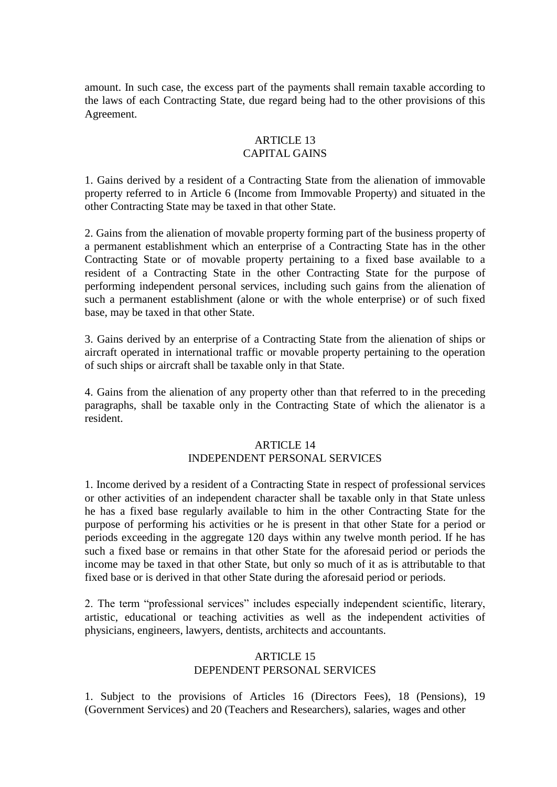amount. In such case, the excess part of the payments shall remain taxable according to the laws of each Contracting State, due regard being had to the other provisions of this Agreement.

#### ARTICLE 13 CAPITAL GAINS

1. Gains derived by a resident of a Contracting State from the alienation of immovable property referred to in Article 6 (Income from Immovable Property) and situated in the other Contracting State may be taxed in that other State.

2. Gains from the alienation of movable property forming part of the business property of a permanent establishment which an enterprise of a Contracting State has in the other Contracting State or of movable property pertaining to a fixed base available to a resident of a Contracting State in the other Contracting State for the purpose of performing independent personal services, including such gains from the alienation of such a permanent establishment (alone or with the whole enterprise) or of such fixed base, may be taxed in that other State.

3. Gains derived by an enterprise of a Contracting State from the alienation of ships or aircraft operated in international traffic or movable property pertaining to the operation of such ships or aircraft shall be taxable only in that State.

4. Gains from the alienation of any property other than that referred to in the preceding paragraphs, shall be taxable only in the Contracting State of which the alienator is a resident.

# ARTICLE 14 INDEPENDENT PERSONAL SERVICES

1. Income derived by a resident of a Contracting State in respect of professional services or other activities of an independent character shall be taxable only in that State unless he has a fixed base regularly available to him in the other Contracting State for the purpose of performing his activities or he is present in that other State for a period or periods exceeding in the aggregate 120 days within any twelve month period. If he has such a fixed base or remains in that other State for the aforesaid period or periods the income may be taxed in that other State, but only so much of it as is attributable to that fixed base or is derived in that other State during the aforesaid period or periods.

2. The term "professional services" includes especially independent scientific, literary, artistic, educational or teaching activities as well as the independent activities of physicians, engineers, lawyers, dentists, architects and accountants.

#### ARTICLE 15 DEPENDENT PERSONAL SERVICES

1. Subject to the provisions of Articles 16 (Directors Fees), 18 (Pensions), 19 (Government Services) and 20 (Teachers and Researchers), salaries, wages and other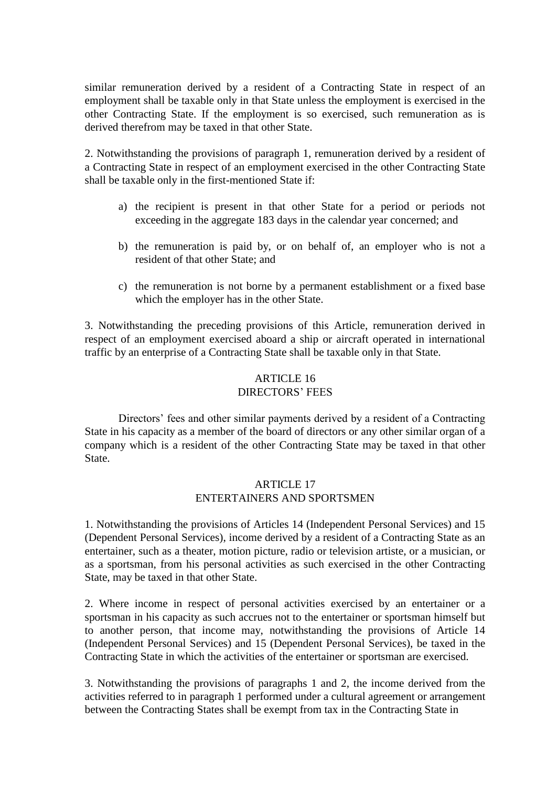similar remuneration derived by a resident of a Contracting State in respect of an employment shall be taxable only in that State unless the employment is exercised in the other Contracting State. If the employment is so exercised, such remuneration as is derived therefrom may be taxed in that other State.

2. Notwithstanding the provisions of paragraph 1, remuneration derived by a resident of a Contracting State in respect of an employment exercised in the other Contracting State shall be taxable only in the first-mentioned State if:

- a) the recipient is present in that other State for a period or periods not exceeding in the aggregate 183 days in the calendar year concerned; and
- b) the remuneration is paid by, or on behalf of, an employer who is not a resident of that other State; and
- c) the remuneration is not borne by a permanent establishment or a fixed base which the employer has in the other State.

3. Notwithstanding the preceding provisions of this Article, remuneration derived in respect of an employment exercised aboard a ship or aircraft operated in international traffic by an enterprise of a Contracting State shall be taxable only in that State.

#### ARTICLE 16 DIRECTORS' FEES

Directors' fees and other similar payments derived by a resident of a Contracting State in his capacity as a member of the board of directors or any other similar organ of a company which is a resident of the other Contracting State may be taxed in that other State.

# ARTICLE 17 ENTERTAINERS AND SPORTSMEN

1. Notwithstanding the provisions of Articles 14 (Independent Personal Services) and 15 (Dependent Personal Services), income derived by a resident of a Contracting State as an entertainer, such as a theater, motion picture, radio or television artiste, or a musician, or as a sportsman, from his personal activities as such exercised in the other Contracting State, may be taxed in that other State.

2. Where income in respect of personal activities exercised by an entertainer or a sportsman in his capacity as such accrues not to the entertainer or sportsman himself but to another person, that income may, notwithstanding the provisions of Article 14 (Independent Personal Services) and 15 (Dependent Personal Services), be taxed in the Contracting State in which the activities of the entertainer or sportsman are exercised.

3. Notwithstanding the provisions of paragraphs 1 and 2, the income derived from the activities referred to in paragraph 1 performed under a cultural agreement or arrangement between the Contracting States shall be exempt from tax in the Contracting State in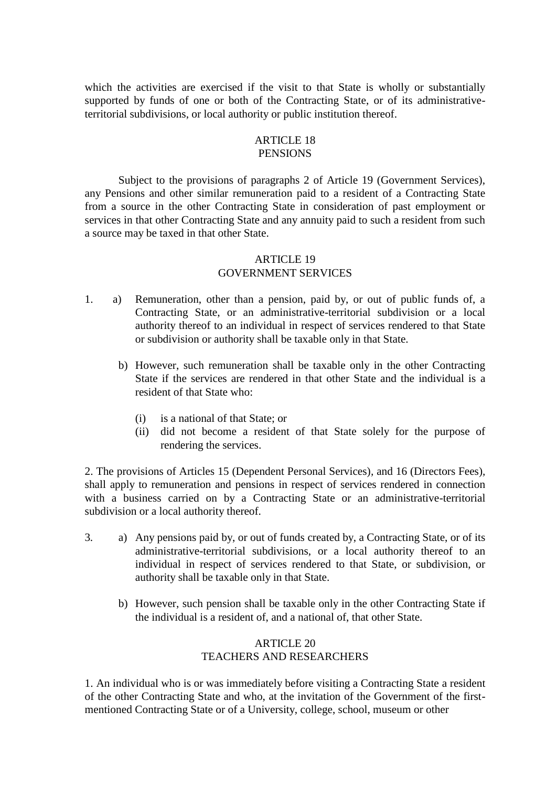which the activities are exercised if the visit to that State is wholly or substantially supported by funds of one or both of the Contracting State, or of its administrativeterritorial subdivisions, or local authority or public institution thereof.

#### ARTICLE 18 **PENSIONS**

Subject to the provisions of paragraphs 2 of Article 19 (Government Services), any Pensions and other similar remuneration paid to a resident of a Contracting State from a source in the other Contracting State in consideration of past employment or services in that other Contracting State and any annuity paid to such a resident from such a source may be taxed in that other State.

#### ARTICLE 19 GOVERNMENT SERVICES

- 1. a) Remuneration, other than a pension, paid by, or out of public funds of, a Contracting State, or an administrative-territorial subdivision or a local authority thereof to an individual in respect of services rendered to that State or subdivision or authority shall be taxable only in that State.
	- b) However, such remuneration shall be taxable only in the other Contracting State if the services are rendered in that other State and the individual is a resident of that State who:
		- (i) is a national of that State; or
		- (ii) did not become a resident of that State solely for the purpose of rendering the services.

2. The provisions of Articles 15 (Dependent Personal Services)*,* and 16 (Directors Fees)*,* shall apply to remuneration and pensions in respect of services rendered in connection with a business carried on by a Contracting State or an administrative-territorial subdivision or a local authority thereof.

- 3*.* a) Any pensions paid by, or out of funds created by, a Contracting State, or of its administrative-territorial subdivisions, or a local authority thereof to an individual in respect of services rendered to that State, or subdivision, or authority shall be taxable only in that State.
	- b) However, such pension shall be taxable only in the other Contracting State if the individual is a resident of, and a national of, that other State.

#### ARTICLE 20 TEACHERS AND RESEARCHERS

1. An individual who is or was immediately before visiting a Contracting State a resident of the other Contracting State and who, at the invitation of the Government of the firstmentioned Contracting State or of a University, college, school, museum or other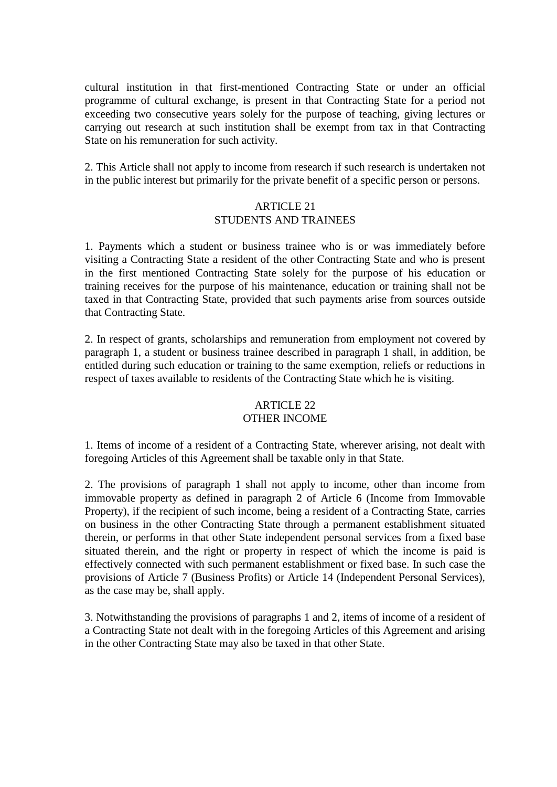cultural institution in that first-mentioned Contracting State or under an official programme of cultural exchange, is present in that Contracting State for a period not exceeding two consecutive years solely for the purpose of teaching, giving lectures or carrying out research at such institution shall be exempt from tax in that Contracting State on his remuneration for such activity.

2. This Article shall not apply to income from research if such research is undertaken not in the public interest but primarily for the private benefit of a specific person or persons.

#### ARTICLE 21 STUDENTS AND TRAINEES

1. Payments which a student or business trainee who is or was immediately before visiting a Contracting State a resident of the other Contracting State and who is present in the first mentioned Contracting State solely for the purpose of his education or training receives for the purpose of his maintenance, education or training shall not be taxed in that Contracting State, provided that such payments arise from sources outside that Contracting State.

2. In respect of grants, scholarships and remuneration from employment not covered by paragraph 1, a student or business trainee described in paragraph 1 shall, in addition, be entitled during such education or training to the same exemption, reliefs or reductions in respect of taxes available to residents of the Contracting State which he is visiting.

#### ARTICLE 22 OTHER INCOME

1. Items of income of a resident of a Contracting State, wherever arising, not dealt with foregoing Articles of this Agreement shall be taxable only in that State.

2. The provisions of paragraph 1 shall not apply to income, other than income from immovable property as defined in paragraph 2 of Article 6 (Income from Immovable Property), if the recipient of such income, being a resident of a Contracting State, carries on business in the other Contracting State through a permanent establishment situated therein, or performs in that other State independent personal services from a fixed base situated therein, and the right or property in respect of which the income is paid is effectively connected with such permanent establishment or fixed base. In such case the provisions of Article 7 (Business Profits) or Article 14 (Independent Personal Services), as the case may be, shall apply.

3. Notwithstanding the provisions of paragraphs 1 and 2, items of income of a resident of a Contracting State not dealt with in the foregoing Articles of this Agreement and arising in the other Contracting State may also be taxed in that other State.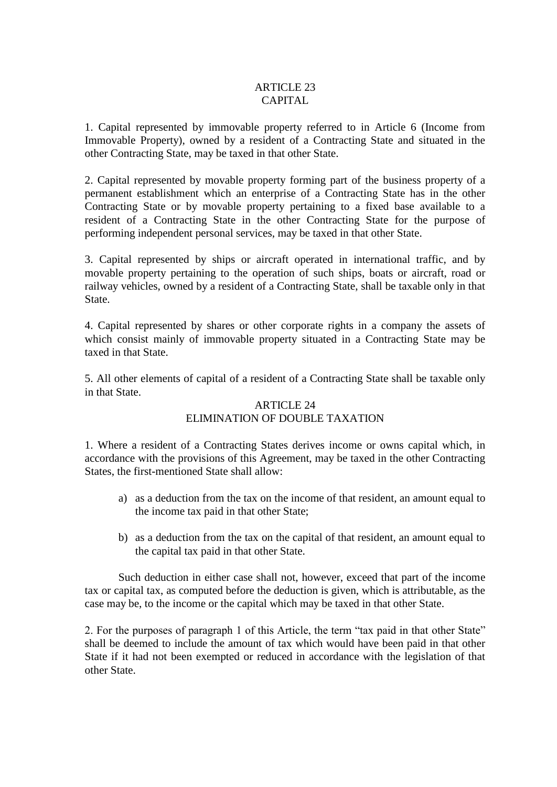# ARTICLE 23 CAPITAL

1. Capital represented by immovable property referred to in Article 6 (Income from Immovable Property), owned by a resident of a Contracting State and situated in the other Contracting State, may be taxed in that other State.

2. Capital represented by movable property forming part of the business property of a permanent establishment which an enterprise of a Contracting State has in the other Contracting State or by movable property pertaining to a fixed base available to a resident of a Contracting State in the other Contracting State for the purpose of performing independent personal services, may be taxed in that other State.

3. Capital represented by ships or aircraft operated in international traffic, and by movable property pertaining to the operation of such ships, boats or aircraft, road or railway vehicles, owned by a resident of a Contracting State, shall be taxable only in that State.

4. Capital represented by shares or other corporate rights in a company the assets of which consist mainly of immovable property situated in a Contracting State may be taxed in that State.

5. All other elements of capital of a resident of a Contracting State shall be taxable only in that State.

# ARTICLE 24 ELIMINATION OF DOUBLE TAXATION

1. Where a resident of a Contracting States derives income or owns capital which, in accordance with the provisions of this Agreement, may be taxed in the other Contracting States, the first-mentioned State shall allow:

- a) as a deduction from the tax on the income of that resident, an amount equal to the income tax paid in that other State;
- b) as a deduction from the tax on the capital of that resident, an amount equal to the capital tax paid in that other State.

Such deduction in either case shall not, however, exceed that part of the income tax or capital tax, as computed before the deduction is given, which is attributable, as the case may be, to the income or the capital which may be taxed in that other State.

2. For the purposes of paragraph 1 of this Article, the term "tax paid in that other State" shall be deemed to include the amount of tax which would have been paid in that other State if it had not been exempted or reduced in accordance with the legislation of that other State.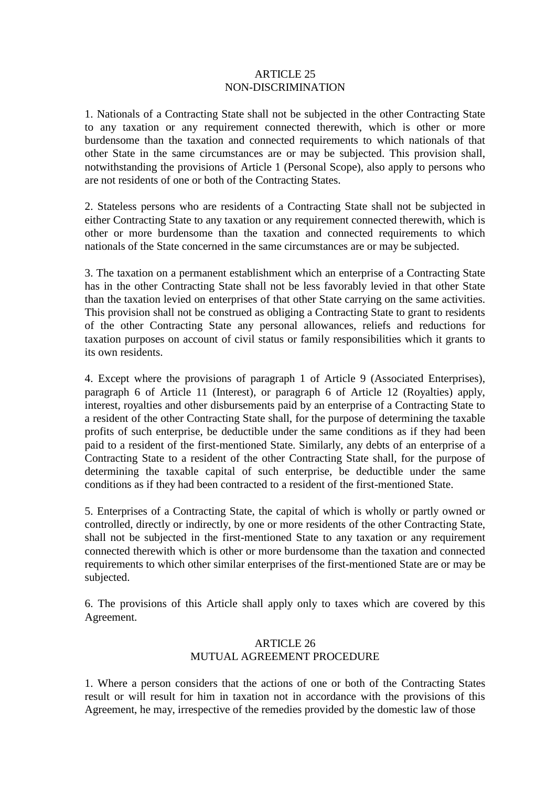#### ARTICLE 25 NON-DISCRIMINATION

1. Nationals of a Contracting State shall not be subjected in the other Contracting State to any taxation or any requirement connected therewith, which is other or more burdensome than the taxation and connected requirements to which nationals of that other State in the same circumstances are or may be subjected. This provision shall, notwithstanding the provisions of Article 1 (Personal Scope), also apply to persons who are not residents of one or both of the Contracting States.

2. Stateless persons who are residents of a Contracting State shall not be subjected in either Contracting State to any taxation or any requirement connected therewith, which is other or more burdensome than the taxation and connected requirements to which nationals of the State concerned in the same circumstances are or may be subjected.

3. The taxation on a permanent establishment which an enterprise of a Contracting State has in the other Contracting State shall not be less favorably levied in that other State than the taxation levied on enterprises of that other State carrying on the same activities. This provision shall not be construed as obliging a Contracting State to grant to residents of the other Contracting State any personal allowances, reliefs and reductions for taxation purposes on account of civil status or family responsibilities which it grants to its own residents.

4. Except where the provisions of paragraph 1 of Article 9 (Associated Enterprises), paragraph 6 of Article 11 (Interest), or paragraph 6 of Article 12 (Royalties) apply, interest, royalties and other disbursements paid by an enterprise of a Contracting State to a resident of the other Contracting State shall, for the purpose of determining the taxable profits of such enterprise, be deductible under the same conditions as if they had been paid to a resident of the first-mentioned State. Similarly, any debts of an enterprise of a Contracting State to a resident of the other Contracting State shall, for the purpose of determining the taxable capital of such enterprise, be deductible under the same conditions as if they had been contracted to a resident of the first-mentioned State.

5. Enterprises of a Contracting State, the capital of which is wholly or partly owned or controlled, directly or indirectly, by one or more residents of the other Contracting State, shall not be subjected in the first-mentioned State to any taxation or any requirement connected therewith which is other or more burdensome than the taxation and connected requirements to which other similar enterprises of the first-mentioned State are or may be subjected.

6. The provisions of this Article shall apply only to taxes which are covered by this Agreement.

# ARTICLE 26 MUTUAL AGREEMENT PROCEDURE

1. Where a person considers that the actions of one or both of the Contracting States result or will result for him in taxation not in accordance with the provisions of this Agreement, he may, irrespective of the remedies provided by the domestic law of those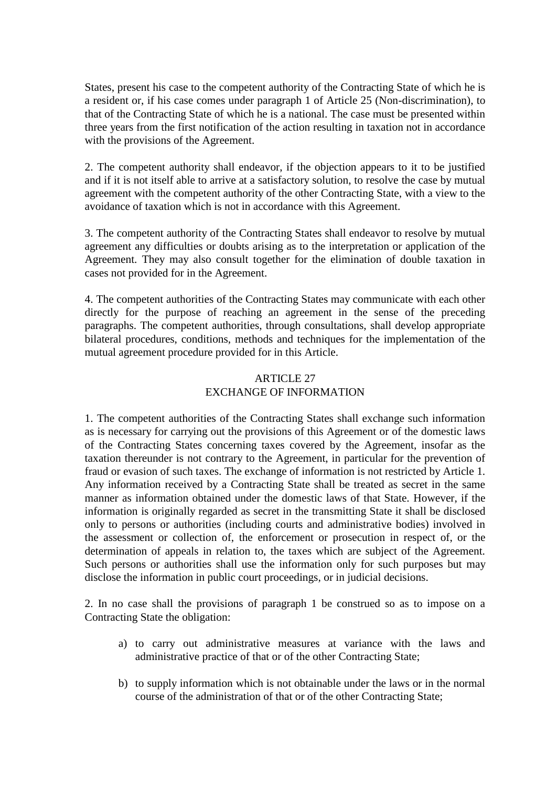States, present his case to the competent authority of the Contracting State of which he is a resident or, if his case comes under paragraph 1 of Article 25 (Non-discrimination), to that of the Contracting State of which he is a national. The case must be presented within three years from the first notification of the action resulting in taxation not in accordance with the provisions of the Agreement.

2. The competent authority shall endeavor, if the objection appears to it to be justified and if it is not itself able to arrive at a satisfactory solution, to resolve the case by mutual agreement with the competent authority of the other Contracting State, with a view to the avoidance of taxation which is not in accordance with this Agreement.

3. The competent authority of the Contracting States shall endeavor to resolve by mutual agreement any difficulties or doubts arising as to the interpretation or application of the Agreement. They may also consult together for the elimination of double taxation in cases not provided for in the Agreement.

4. The competent authorities of the Contracting States may communicate with each other directly for the purpose of reaching an agreement in the sense of the preceding paragraphs. The competent authorities, through consultations, shall develop appropriate bilateral procedures, conditions, methods and techniques for the implementation of the mutual agreement procedure provided for in this Article.

# ARTICLE 27 EXCHANGE OF INFORMATION

1. The competent authorities of the Contracting States shall exchange such information as is necessary for carrying out the provisions of this Agreement or of the domestic laws of the Contracting States concerning taxes covered by the Agreement, insofar as the taxation thereunder is not contrary to the Agreement, in particular for the prevention of fraud or evasion of such taxes. The exchange of information is not restricted by Article 1. Any information received by a Contracting State shall be treated as secret in the same manner as information obtained under the domestic laws of that State*.* However, if the information is originally regarded as secret in the transmitting State it shall be disclosed only to persons or authorities (including courts and administrative bodies) involved in the assessment or collection of, the enforcement or prosecution in respect of, or the determination of appeals in relation to, the taxes which are subject of the Agreement. Such persons or authorities shall use the information only for such purposes but may disclose the information in public court proceedings*,* or in judicial decisions.

2. In no case shall the provisions of paragraph 1 be construed so as to impose on a Contracting State the obligation:

- a) to carry out administrative measures at variance with the laws and administrative practice of that or of the other Contracting State;
- b) to supply information which is not obtainable under the laws or in the normal course of the administration of that or of the other Contracting State;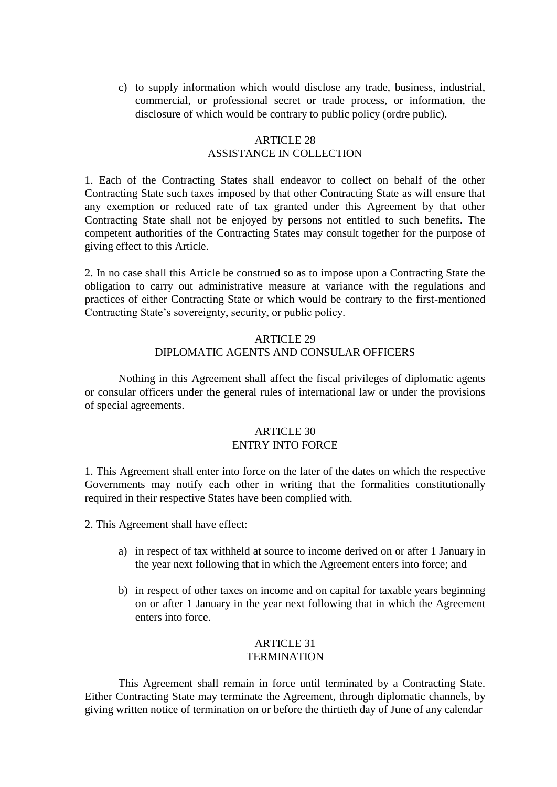c) to supply information which would disclose any trade, business, industrial, commercial, or professional secret or trade process, or information, the disclosure of which would be contrary to public policy (ordre public).

#### ARTICLE 28 ASSISTANCE IN COLLECTION

1. Each of the Contracting States shall endeavor to collect on behalf of the other Contracting State such taxes imposed by that other Contracting State as will ensure that any exemption or reduced rate of tax granted under this Agreement by that other Contracting State shall not be enjoyed by persons not entitled to such benefits. The competent authorities of the Contracting States may consult together for the purpose of giving effect to this Article.

2. In no case shall this Article be construed so as to impose upon a Contracting State the obligation to carry out administrative measure at variance with the regulations and practices of either Contracting State or which would be contrary to the first-mentioned Contracting State's sovereignty, security, or public policy.

# ARTICLE 29 DIPLOMATIC AGENTS AND CONSULAR OFFICERS

Nothing in this Agreement shall affect the fiscal privileges of diplomatic agents or consular officers under the general rules of international law or under the provisions of special agreements.

# ARTICLE 30 ENTRY INTO FORCE

1. This Agreement shall enter into force on the later of the dates on which the respective Governments may notify each other in writing that the formalities constitutionally required in their respective States have been complied with.

2. This Agreement shall have effect:

- a) in respect of tax withheld at source to income derived on or after 1 January in the year next following that in which the Agreement enters into force; and
- b) in respect of other taxes on income and on capital for taxable years beginning on or after 1 January in the year next following that in which the Agreement enters into force.

#### ARTICLE 31 **TERMINATION**

This Agreement shall remain in force until terminated by a Contracting State. Either Contracting State may terminate the Agreement, through diplomatic channels, by giving written notice of termination on or before the thirtieth day of June of any calendar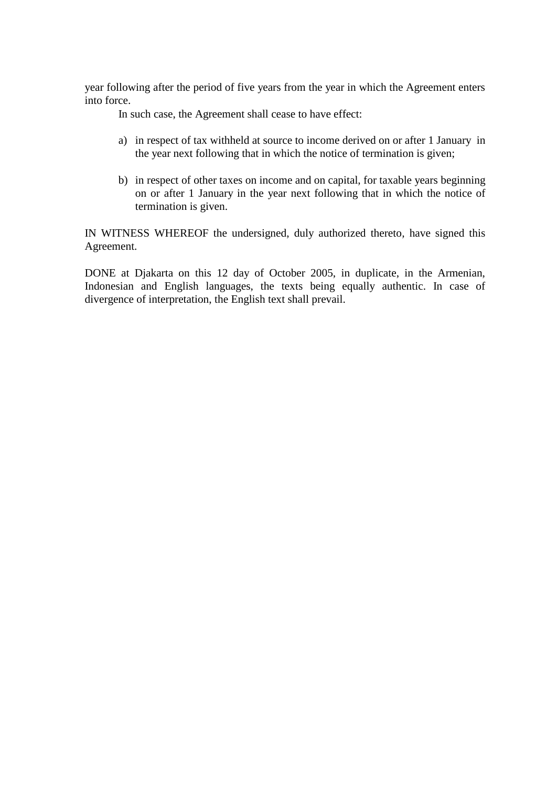year following after the period of five years from the year in which the Agreement enters into force.

In such case, the Agreement shall cease to have effect:

- a) in respect of tax withheld at source to income derived on or after 1 January in the year next following that in which the notice of termination is given;
- b) in respect of other taxes on income and on capital, for taxable years beginning on or after 1 January in the year next following that in which the notice of termination is given.

IN WITNESS WHEREOF the undersigned, duly authorized thereto*,* have signed this Agreement.

DONE at Djakarta on this 12 day of October 2005, in duplicate, in the Armenian, Indonesian and English languages, the texts being equally authentic. In case of divergence of interpretation, the English text shall prevail.